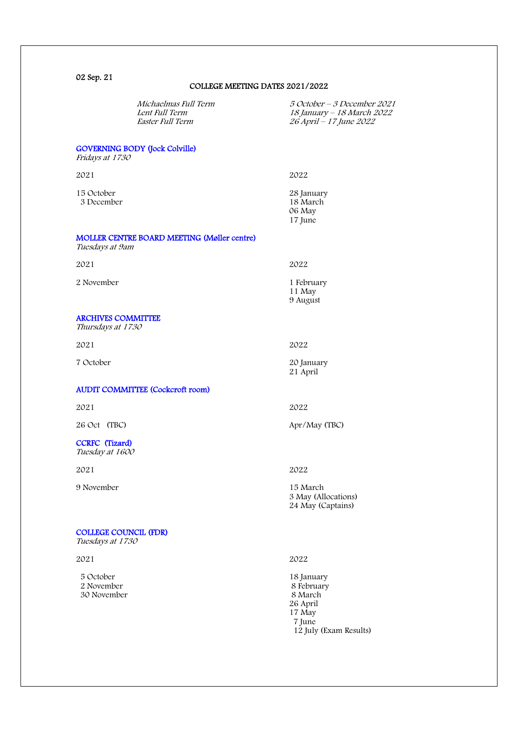02 Sep. 21

## COLLEGE MEETING DATES 2021/2022

|                                                  | Michaelmas Full Term<br>Lent Full Term<br>Easter Full Term | 5 October – 3 December 2021<br>18 January - 18 March 2022<br>26 April - 17 June 2022 |
|--------------------------------------------------|------------------------------------------------------------|--------------------------------------------------------------------------------------|
| Fridays at 1730                                  | <b>GOVERNING BODY (Jock Colville)</b>                      |                                                                                      |
| 2021                                             |                                                            | 2022                                                                                 |
| 15 October<br>3 December                         |                                                            | 28 January<br>18 March<br>06 May<br>17 June                                          |
| Tuesdays at 9am                                  | MOLLER CENTRE BOARD MEETING (Møller centre)                |                                                                                      |
| 2021                                             |                                                            | 2022                                                                                 |
| 2 November                                       |                                                            | 1 February<br>11 May<br>9 August                                                     |
| <b>ARCHIVES COMMITTEE</b><br>Thursdays at 1730   |                                                            |                                                                                      |
| 2021                                             |                                                            | 2022                                                                                 |
| 7 October                                        |                                                            | 20 January<br>21 April                                                               |
|                                                  | <b>AUDIT COMMITTEE (Cockcroft room)</b>                    |                                                                                      |
| 2021                                             |                                                            | 2022                                                                                 |
| 26 Oct (TBC)                                     |                                                            | Apr/May (TBC)                                                                        |
| <b>CCRFC</b> (Tizard)<br>Tuesday at 1600         |                                                            |                                                                                      |
| 2021                                             |                                                            | 2022                                                                                 |
| 9 November                                       |                                                            | 15 March<br>3 May (Allocations)<br>24 May (Captains)                                 |
| <b>COLLEGE COUNCIL (FDR)</b><br>Tuesdays at 1730 |                                                            |                                                                                      |
| 2021                                             |                                                            | 2022                                                                                 |
| 5 October<br>2 November<br>30 November           |                                                            | 18 January<br>8 February<br>8 March<br>26 April<br>17 May                            |

7 June

12 July (Exam Results)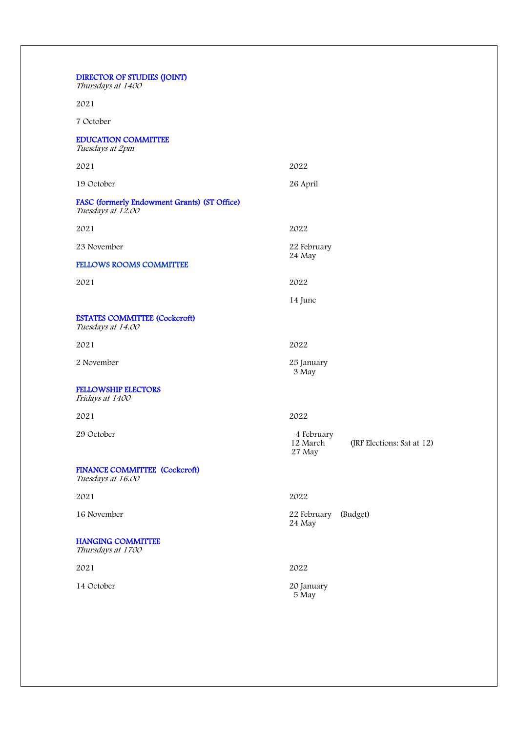| <b>DIRECTOR OF STUDIES (JOINT)</b><br>Thursdays at 1400           |                                                                |  |
|-------------------------------------------------------------------|----------------------------------------------------------------|--|
| 2021                                                              |                                                                |  |
| 7 October                                                         |                                                                |  |
| <b>EDUCATION COMMITTEE</b><br>Tuesdays at 2pm                     |                                                                |  |
| 2021                                                              | 2022                                                           |  |
| 19 October                                                        | 26 April                                                       |  |
| FASC (formerly Endowment Grants) (ST Office)<br>Tuesdays at 12.00 |                                                                |  |
| 2021                                                              | 2022                                                           |  |
| 23 November                                                       | 22 February                                                    |  |
| <b>FELLOWS ROOMS COMMITTEE</b>                                    | 24 May                                                         |  |
| 2021                                                              | 2022                                                           |  |
|                                                                   | 14 June                                                        |  |
| <b>ESTATES COMMITTEE (Cockcroft)</b><br>Tuesdays at 14.00         |                                                                |  |
| 2021                                                              | 2022                                                           |  |
| 2 November                                                        | 25 January<br>3 May                                            |  |
| <b>FELLOWSHIP ELECTORS</b><br>Fridays at 1400                     |                                                                |  |
| 2021                                                              | 2022                                                           |  |
| 29 October                                                        | 4 February<br>12 March<br>(JRF Elections: Sat at 12)<br>27 May |  |
| FINANCE COMMITTEE (Cockcroft)<br>Tuesdays at 16.00                |                                                                |  |
| 2021                                                              | 2022                                                           |  |
| 16 November                                                       | 22 February<br>(Budget)<br>24 May                              |  |
| <b>HANGING COMMITTEE</b><br>Thursdays at 1700                     |                                                                |  |
| 2021                                                              | 2022                                                           |  |
| 14 October                                                        | 20 January<br>5 May                                            |  |